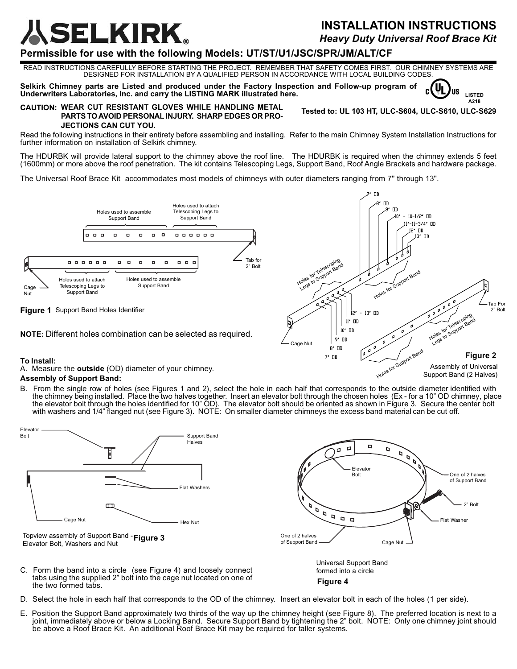# ELKIRK.

## **INSTALLATION INSTRUCTIONS** *Heavy Duty Universal Roof Brace Kit*

**LISTED A218**

Uı **US** 

**Tested to: UL 103 HT, ULC-S604, ULC-S610, ULC-S629**

## **Permissible for use with the following Models: UT/ST/U1/JSC/SPR/JM/ALT/CF**

READ INSTRUCTIONS CAREFULLY BEFORE STARTING THE PROJECT. REMEMBER THAT SAFETY COMES FIRST. OUR CHIMNEY SYSTEMS ARE DESIGNED FOR INSTALLATION BY A QUALIFIED PERSON IN ACCORDANCE WITH LOCAL BUILDING CODES.

**Selkirk Chimney parts are Listed and produced under the Factory Inspection and Follow-up program of Underwriters Laboratories, Inc. and carry the LISTING MARK illustrated here.**

#### **CAUTION: WEAR CUT RESISTANT GLOVES WHILE HANDLING METAL PARTS TOAVOID PERSONAL INJURY. SHARP EDGES OR PRO-JECTIONS CAN CUT YOU.**

Read the following instructions in their entirety before assembling and installing. Refer to the main Chimney System Installation Instructions for further information on installation of Selkirk chimney.

The HDURBK will provide lateral support to the chimney above the roof line. The HDURBK is required when the chimney extends 5 feet (1600mm) or more above the roof penetration. The kit contains Telescoping Legs, Support Band, Roof Angle Brackets and hardware package.

The Universal Roof Brace Kit accommodates most models of chimneys with outer diameters ranging from 7" through 13".





**NOTE:** Different holes combination can be selected as required.



A. Measure the **outside** (OD) diameter of your chimney.

### **Assembly of Support Band:**

B. From the single row of holes (see Figures 1 and 2), select the hole in each half that corresponds to the outside diameter identified with the chimney being installed. Place the two halves together. Insert an elevator bolt through the chosen holes (Ex - for a 10" OD chimney, place the elevator bolt through the holes identified for 10" OD). The elevator bolt should be oriented as shown in Figure 3. Secure the center bolt with washers and 1/4" flanged nut (see Figure 3). NOTÉ: On smaller diameter chimneys the excess band material can be cut off.



- tabs using the supplied 2" bolt into the cage nut located on one of the two formed tabs.
- D. Select the hole in each half that corresponds to the OD of the chimney. Insert an elevator bolt in each of the holes (1 per side).
- E. Position the Support Band approximately two thirds of the way up the chimney height (see Figure 8). The preferred location is next to a joint, immediately above or below a Locking Band. Secure Support Band by tightening the 2" bolt. NOTE: Only one chimney joint should be above a Roof Brace Kit. An additional Roof Brace Kit may be required for taller systems.